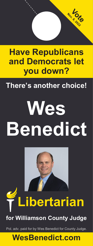# **Have Republicans and Democrats let you down?**

Nov 8 16

## **There's another choice!**

# **Wes Benedict**



# **Libertarian**

## **for Williamson County Judge**

Pol. adv. paid for by Wes Benedict for County Judge.

## **WesBenedict.com**